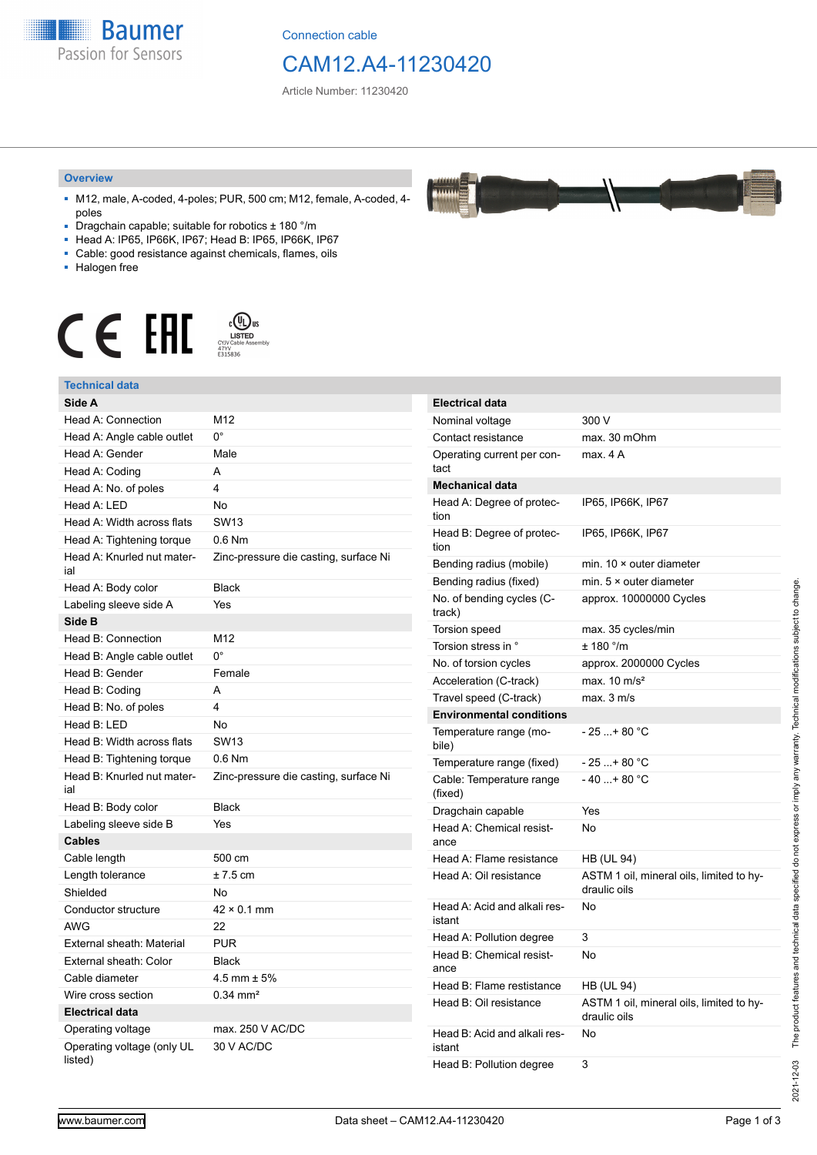

Connection cable

# CAM12.A4-11230420

Article Number: 11230420

#### **Overview**

- M12, male, A-coded, 4-poles; PUR, 500 cm; M12, female, A-coded, 4 poles
- Dragchain capable; suitable for robotics ± 180 °/m
- Head A: IP65, IP66K, IP67; Head B: IP65, IP66K, IP67
- Cable: good resistance against chemicals, flames, oils
- Halogen free



### **Technical data**

| IGUIIIIUAI UAIA                                 |                                       |                                                  |                          |
|-------------------------------------------------|---------------------------------------|--------------------------------------------------|--------------------------|
| Side A                                          |                                       | <b>Electrical data</b>                           |                          |
| Head A: Connection                              | M12                                   | Nominal voltage                                  | 3                        |
| Head A: Angle cable outlet                      | $0^{\circ}$                           | Contact resistance                               | m                        |
| Head A: Gender                                  | Male                                  | Operating current per con-                       | m                        |
| Head A: Coding                                  | A                                     | tact                                             |                          |
| Head A: No. of poles                            | $\overline{4}$                        | <b>Mechanical data</b>                           |                          |
| Head A: LED                                     | <b>No</b>                             | Head A: Degree of protec-                        | IF                       |
| Head A: Width across flats                      | <b>SW13</b>                           | tion                                             |                          |
| Head A: Tightening torque                       | $0.6$ Nm                              | Head B: Degree of protec-<br>tion                | IF                       |
| Head A: Knurled nut mater-<br>ial               | Zinc-pressure die casting, surface Ni | Bending radius (mobile)                          | m                        |
| Head A: Body color                              | <b>Black</b>                          | Bending radius (fixed)                           | m                        |
| Labeling sleeve side A                          | Yes                                   | No. of bending cycles (C-                        | a                        |
| Side B                                          |                                       | track)                                           | m                        |
| Head B: Connection                              | M <sub>12</sub>                       | <b>Torsion speed</b><br>Torsion stress in °      |                          |
| Head B: Angle cable outlet                      | $0^{\circ}$                           | No. of torsion cycles                            | Ŧ                        |
| Head B: Gender                                  | Female                                |                                                  | a<br>m                   |
| Head B: Coding                                  | A                                     | Acceleration (C-track)<br>Travel speed (C-track) |                          |
| Head B: No. of poles                            | $\overline{4}$                        | <b>Environmental conditions</b>                  | m                        |
| Head B: LED                                     | <b>No</b>                             | Temperature range (mo-                           |                          |
| Head B: Width across flats                      | <b>SW13</b>                           | bile)                                            |                          |
| Head B: Tightening torque                       | $0.6$ Nm                              | Temperature range (fixed)                        | $-$ )                    |
| Head B: Knurled nut mater-<br>ial               | Zinc-pressure die casting, surface Ni | Cable: Temperature range<br>(fixed)              | $\overline{\phantom{a}}$ |
| Head B: Body color                              | <b>Black</b>                          | Dragchain capable                                | Y                        |
| Labeling sleeve side B                          | Yes                                   | Head A: Chemical resist-                         | Ν                        |
| Cables                                          |                                       | ance                                             |                          |
| Cable length                                    | 500 cm                                | Head A: Flame resistance                         | Н                        |
| Length tolerance                                | $± 7.5$ cm                            | Head A: Oil resistance                           | A                        |
| Shielded                                        | No                                    |                                                  | d                        |
| Conductor structure                             | $42 \times 0.1$ mm                    | Head A: Acid and alkali res-                     | N                        |
| <b>AWG</b>                                      | 22                                    | istant                                           |                          |
| External sheath: Material                       | <b>PUR</b>                            | Head A: Pollution degree                         | 3                        |
| External sheath: Color                          | <b>Black</b>                          | Head B: Chemical resist-<br>ance                 | N                        |
| Cable diameter                                  | 4.5 mm $\pm$ 5%                       | Head B: Flame restistance                        | Н                        |
| Wire cross section                              | $0.34 \, \text{mm}^2$                 | Head B: Oil resistance                           | A                        |
| <b>Electrical data</b>                          |                                       |                                                  | d                        |
| Operating voltage<br>Operating voltage (only UL | max. 250 V AC/DC<br>30 V AC/DC        | Head B: Acid and alkali res-<br>istant           | N                        |
| listed)                                         |                                       | Head B: Pollution degree                         | 3                        |

| <b>Electrical data</b>                 |                                                          |
|----------------------------------------|----------------------------------------------------------|
| Nominal voltage                        | 300 V                                                    |
| Contact resistance                     | max. 30 mOhm                                             |
| Operating current per con-<br>tact     | max. 4 A                                                 |
| Mechanical data                        |                                                          |
| Head A: Degree of protec-<br>tion      | IP65, IP66K, IP67                                        |
| Head B: Degree of protec-<br>tion      | IP65, IP66K, IP67                                        |
| Bending radius (mobile)                | min. $10 \times$ outer diameter                          |
| Bending radius (fixed)                 | min. $5 \times$ outer diameter                           |
| No. of bending cycles (C-<br>track)    | approx. 10000000 Cycles                                  |
| <b>Torsion speed</b>                   | max. 35 cycles/min                                       |
| Torsion stress in °                    | ± 180 °/m                                                |
| No. of torsion cycles                  | approx. 2000000 Cycles                                   |
| Acceleration (C-track)                 | max. $10 \text{ m/s}^2$                                  |
| Travel speed (C-track)                 | max. 3 m/s                                               |
| <b>Environmental conditions</b>        |                                                          |
| Temperature range (mo-<br>bile)        | - 25 + 80 °C                                             |
| Temperature range (fixed)              | - 25 + 80 °C                                             |
| Cable: Temperature range<br>(fixed)    | - 40 + 80 °C                                             |
| Dragchain capable                      | Yes                                                      |
| Head A: Chemical resist-<br>ance       | No                                                       |
| Head A: Flame resistance               | HB (UL 94)                                               |
| Head A: Oil resistance                 | ASTM 1 oil, mineral oils, limited to hy-<br>draulic oils |
| Head A: Acid and alkali res-<br>istant | No                                                       |
| Head A: Pollution degree               | 3                                                        |
| Head B: Chemical resist-<br>ance       | No                                                       |
| Head B: Flame restistance              | <b>HB (UL 94)</b>                                        |
| Head B: Oil resistance                 | ASTM 1 oil, mineral oils, limited to hy-<br>draulic oils |
| Head B: Acid and alkali res-<br>istant | No                                                       |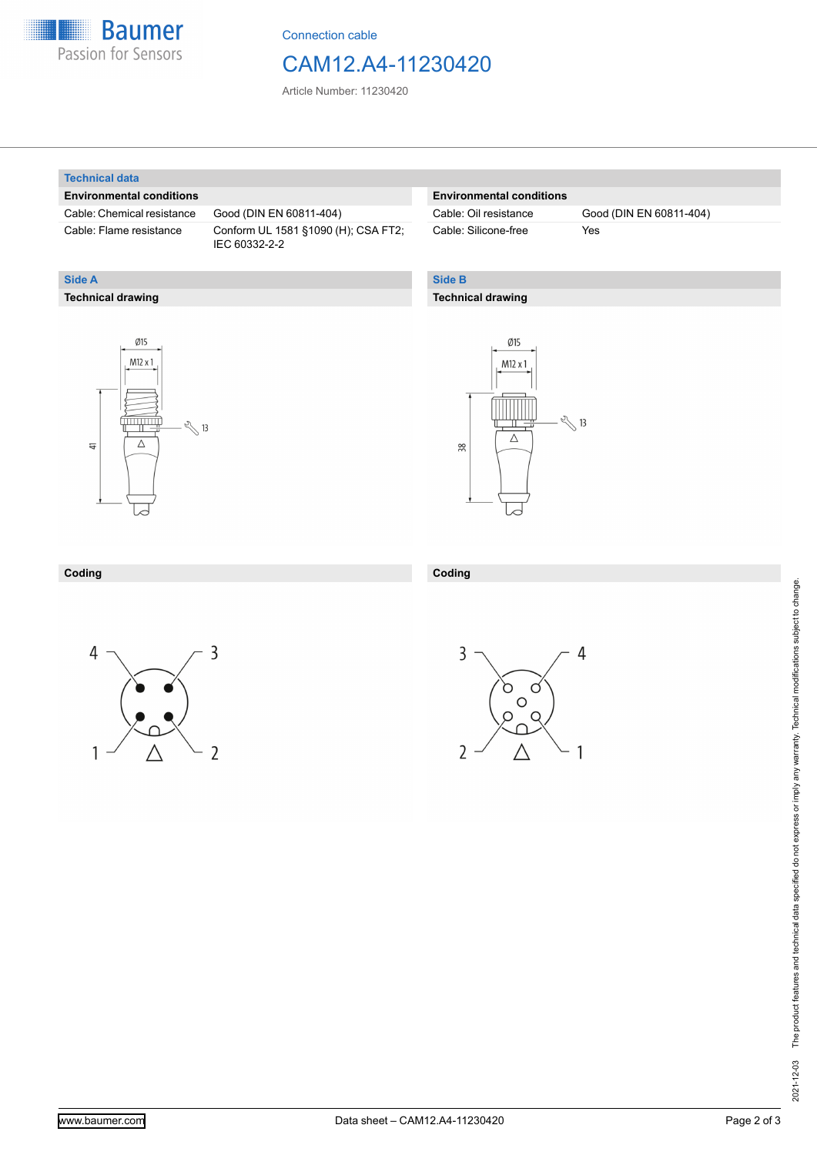

Connection cable

# CAM12.A4-11230420

Article Number: 11230420

#### **Technical data**

**Technical drawing**

**Side A**

#### **Environmental conditions**

Cable: Chemical resistance Good (DIN EN 60811-404)

Cable: Flame resistance Conform UL 1581 §1090 (H); CSA FT2; IEC 60332-2-2

### **Environmental conditions**

Cable: Silicone-free Yes

Cable: Oil resistance Good (DIN EN 60811-404)

### **Side B**

#### **Technical drawing**





#### **Coding Coding**